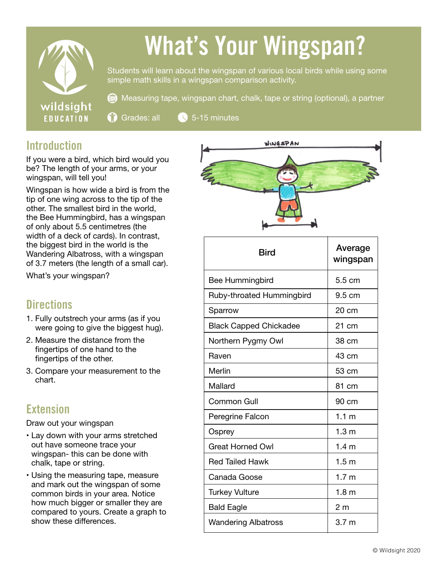

# What's Your Wingspan?

Students will learn about the wingspan of various local birds while using some simple math skills in a wingspan comparison activity.

Ô Measuring tape, wingspan chart, chalk, tape or string (optional), a partner

 $\binom{6}{1}$  Grades: all  $\binom{6}{3}$  5-15 minutes

# **Introduction**

If you were a bird, which bird would you be? The length of your arms, or your wingspan, will tell you!

Wingspan is how wide a bird is from the tip of one wing across to the tip of the other. The smallest bird in the world, the Bee Hummingbird, has a wingspan of only about 5.5 centimetres (the width of a deck of cards). In contrast, the biggest bird in the world is the Wandering Albatross, with a wingspan of 3.7 meters (the length of a small car).

What's your wingspan?

### **Directions**

- 1. Fully outstrech your arms (as if you were going to give the biggest hug).
- 2. Measure the distance from the fingertips of one hand to the fingertips of the other.
- 3. Compare your measurement to the chart.

# Extension

Draw out your wingspan

- Lay down with your arms stretched out have someone trace your wingspan- this can be done with chalk, tape or string.
- Using the measuring tape, measure and mark out the wingspan of some common birds in your area. Notice how much bigger or smaller they are compared to yours. Create a graph to show these differences.



| Bird                          | Average<br>wingspan |
|-------------------------------|---------------------|
| Bee Hummingbird               | 5.5 cm              |
| Ruby-throated Hummingbird     | 9.5 cm              |
| Sparrow                       | 20 cm               |
| <b>Black Capped Chickadee</b> | 21 cm               |
| Northern Pygmy Owl            | 38 cm               |
| Raven                         | 43 cm               |
| Merlin                        | 53 cm               |
| Mallard                       | 81 cm               |
| <b>Common Gull</b>            | 90 cm               |
| Peregrine Falcon              | 1.1 <sub>m</sub>    |
| Osprey                        | 1.3 <sub>m</sub>    |
| <b>Great Horned Owl</b>       | 1.4 <sub>m</sub>    |
| Red Tailed Hawk               | 1.5 <sub>m</sub>    |
| Canada Goose                  | 1.7 <sub>m</sub>    |
| <b>Turkey Vulture</b>         | 1.8 <sub>m</sub>    |
| <b>Bald Eagle</b>             | 2 <sub>m</sub>      |
| <b>Wandering Albatross</b>    | 3.7 <sub>m</sub>    |